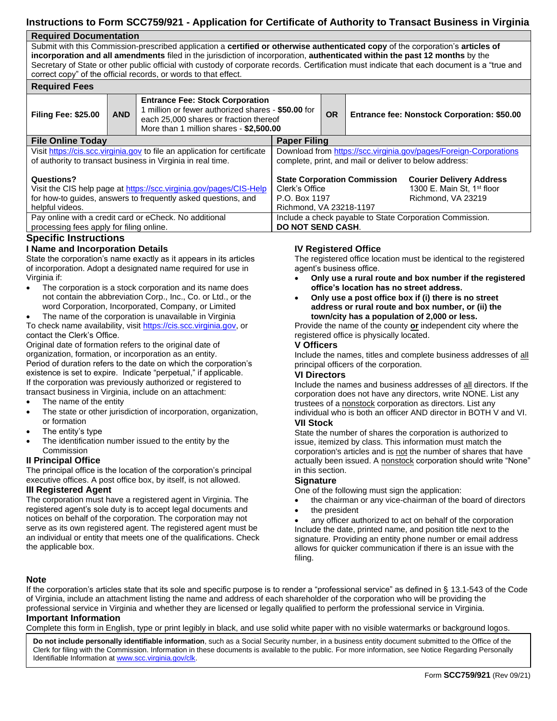# **Instructions to Form SCC759/921 - Application for Certificate of Authority to Transact Business in Virginia**

## **Required Documentation**

Submit with this Commission-prescribed application a **certified or otherwise authenticated copy** of the corporation's **articles of incorporation and all amendments** filed in the jurisdiction of incorporation, **authenticated within the past 12 months** by the Secretary of State or other public official with custody of corporate records. Certification must indicate that each document is a "true and correct copy" of the official records, or words to that effect.

| <b>Required Fees</b>                                                                                                                                                 |            |                                                                                                                                                                                   |                                                                                                                                                                                                      |           |  |                                             |  |  |  |  |
|----------------------------------------------------------------------------------------------------------------------------------------------------------------------|------------|-----------------------------------------------------------------------------------------------------------------------------------------------------------------------------------|------------------------------------------------------------------------------------------------------------------------------------------------------------------------------------------------------|-----------|--|---------------------------------------------|--|--|--|--|
| <b>Filing Fee: \$25.00</b>                                                                                                                                           | <b>AND</b> | <b>Entrance Fee: Stock Corporation</b><br>I million or fewer authorized shares - \$50.00 for<br>each 25,000 shares or fraction thereof<br>More than 1 million shares - \$2,500.00 |                                                                                                                                                                                                      | <b>OR</b> |  | Entrance fee: Nonstock Corporation: \$50.00 |  |  |  |  |
| <b>File Online Today</b>                                                                                                                                             |            |                                                                                                                                                                                   | <b>Paper Filing</b>                                                                                                                                                                                  |           |  |                                             |  |  |  |  |
| Visit https://cis.scc.virginia.gov to file an application for certificate<br>of authority to transact business in Virginia in real time.                             |            |                                                                                                                                                                                   | Download from https://scc.virginia.gov/pages/Foreign-Corporations<br>complete, print, and mail or deliver to below address:                                                                          |           |  |                                             |  |  |  |  |
| Questions?<br>Visit the CIS help page at https://scc.virginia.gov/pages/CIS-Help<br>for how-to guides, answers to frequently asked questions, and<br>helpful videos. |            |                                                                                                                                                                                   | <b>State Corporation Commission</b><br><b>Courier Delivery Address</b><br>1300 E. Main St. 1 <sup>st</sup> floor<br>Clerk's Office<br>P.O. Box 1197<br>Richmond, VA 23219<br>Richmond, VA 23218-1197 |           |  |                                             |  |  |  |  |
| Pay online with a credit card or eCheck. No additional<br>processing fees apply for filing online.                                                                   |            |                                                                                                                                                                                   | Include a check payable to State Corporation Commission.<br>DO NOT SEND CASH.                                                                                                                        |           |  |                                             |  |  |  |  |

## **Specific Instructions**

## **I Name and Incorporation Details**

State the corporation's name exactly as it appears in its articles of incorporation. Adopt a designated name required for use in Virginia if:

The corporation is a stock corporation and its name does not contain the abbreviation Corp., Inc., Co. or Ltd., or the word Corporation, Incorporated, Company, or Limited

The name of the corporation is unavailable in Virginia To check name availability, visit [https://cis.scc.virginia.gov,](https://cis.scc.virginia.gov/) or contact the Clerk's Office.

Original date of formation refers to the original date of organization, formation, or incorporation as an entity. Period of duration refers to the date on which the corporation's existence is set to expire. Indicate "perpetual," if applicable. If the corporation was previously authorized or registered to transact business in Virginia, include on an attachment:

- The name of the entity
- The state or other jurisdiction of incorporation, organization, or formation
- The entity's type
- The identification number issued to the entity by the Commission

## **II Principal Office**

The principal office is the location of the corporation's principal executive offices. A post office box, by itself, is not allowed.

## **III Registered Agent**

The corporation must have a registered agent in Virginia. The registered agent's sole duty is to accept legal documents and notices on behalf of the corporation. The corporation may not serve as its own registered agent. The registered agent must be an individual or entity that meets one of the qualifications. Check the applicable box.

## **IV Registered Office**

The registered office location must be identical to the registered agent's business office.

- **Only use a rural route and box number if the registered office's location has no street address.**
- **Only use a post office box if (i) there is no street address or rural route and box number, or (ii) the town/city has a population of 2,000 or less.**

Provide the name of the county **or** independent city where the registered office is physically located.

## **V Officers**

Include the names, titles and complete business addresses of all principal officers of the corporation.

### **VI Directors**

Include the names and business addresses of all directors. If the corporation does not have any directors, write NONE. List any trustees of a nonstock corporation as directors. List any individual who is both an officer AND director in BOTH V and VI. **VII Stock**

State the number of shares the corporation is authorized to issue, itemized by class. This information must match the corporation's articles and is not the number of shares that have actually been issued. A nonstock corporation should write "None" in this section.

## **Signature**

One of the following must sign the application:

- the chairman or any vice-chairman of the board of directors
- the president

any officer authorized to act on behalf of the corporation Include the date, printed name, and position title next to the signature. Providing an entity phone number or email address allows for quicker communication if there is an issue with the filing.

## **Note**

If the corporation's articles state that its sole and specific purpose is to render a "professional service" as defined in § 13.1-543 of the Code of Virginia, include an attachment listing the name and address of each shareholder of the corporation who will be providing the professional service in Virginia and whether they are licensed or legally qualified to perform the professional service in Virginia. **Important Information**

Complete this form in English, type or print legibly in black, and use solid white paper with no visible watermarks or background logos.

**Do not include personally identifiable information**, such as a Social Security number, in a business entity document submitted to the Office of the Clerk for filing with the Commission. Information in these documents is available to the public. For more information, see Notice Regarding Personally Identifiable Information a[t www.scc.virginia.gov/clk.](http://www.scc.virginia.gov/clk)